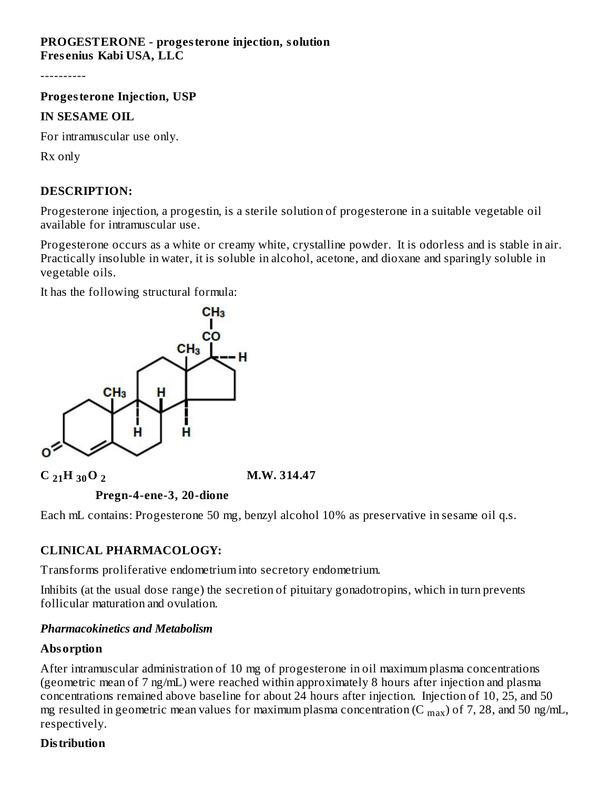## **PROGESTERONE - progesterone injection, solution Fres enius Kabi USA, LLC**

----------

**Progesterone Injection, USP**

#### **IN SESAME OIL**

For intramuscular use only.

Rx only

## **DESCRIPTION:**

Progesterone injection, a progestin, is a sterile solution of progesterone in a suitable vegetable oil available for intramuscular use.

Progesterone occurs as a white or creamy white, crystalline powder. It is odorless and is stable in air. Practically insoluble in water, it is soluble in alcohol, acetone, and dioxane and sparingly soluble in vegetable oils.

It has the following structural formula:



## **C**  $_{21}$ H $_{30}$ O<sub>2</sub> **2 214.47**



**Pregn-4-ene-3, 20-dione**

Each mL contains: Progesterone 50 mg, benzyl alcohol 10% as preservative in sesame oil q.s.

## **CLINICAL PHARMACOLOGY:**

Transforms proliferative endometrium into secretory endometrium.

Inhibits (at the usual dose range) the secretion of pituitary gonadotropins, which in turn prevents follicular maturation and ovulation.

## *Pharmacokinetics and Metabolism*

## **Absorption**

After intramuscular administration of 10 mg of progesterone in oil maximum plasma concentrations (geometric mean of 7 ng/mL) were reached within approximately 8 hours after injection and plasma concentrations remained above baseline for about 24 hours after injection. Injection of 10, 25, and 50 mg resulted in geometric mean values for maximum plasma concentration (C  $_{\rm max}$ ) of 7, 28, and 50 ng/mL, respectively.

## **Distribution**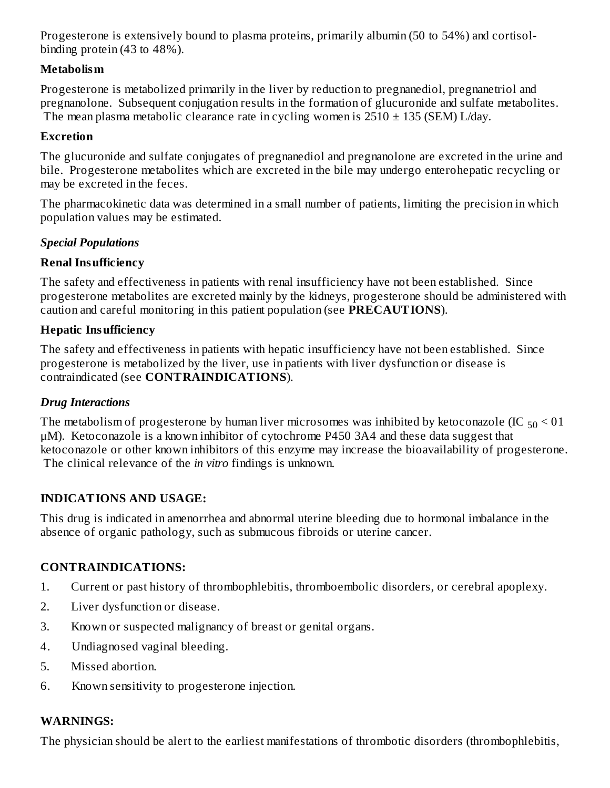Progesterone is extensively bound to plasma proteins, primarily albumin (50 to 54%) and cortisolbinding protein (43 to 48%).

## **Metabolism**

Progesterone is metabolized primarily in the liver by reduction to pregnanediol, pregnanetriol and pregnanolone. Subsequent conjugation results in the formation of glucuronide and sulfate metabolites. The mean plasma metabolic clearance rate in cycling women is  $2510 \pm 135$  (SEM) L/day.

## **Excretion**

The glucuronide and sulfate conjugates of pregnanediol and pregnanolone are excreted in the urine and bile. Progesterone metabolites which are excreted in the bile may undergo enterohepatic recycling or may be excreted in the feces.

The pharmacokinetic data was determined in a small number of patients, limiting the precision in which population values may be estimated.

## *Special Populations*

## **Renal Insufficiency**

The safety and effectiveness in patients with renal insufficiency have not been established. Since progesterone metabolites are excreted mainly by the kidneys, progesterone should be administered with caution and careful monitoring in this patient population (see **PRECAUTIONS**).

## **Hepatic Insufficiency**

The safety and effectiveness in patients with hepatic insufficiency have not been established. Since progesterone is metabolized by the liver, use in patients with liver dysfunction or disease is contraindicated (see **CONTRAINDICATIONS**).

## *Drug Interactions*

The metabolism of progesterone by human liver microsomes was inhibited by ketoconazole (IC  $_{50}$  < 01  $\,$ μM). Ketoconazole is a known inhibitor of cytochrome P450 3A4 and these data suggest that ketoconazole or other known inhibitors of this enzyme may increase the bioavailability of progesterone. The clinical relevance of the *in vitro* findings is unknown.

## **INDICATIONS AND USAGE:**

This drug is indicated in amenorrhea and abnormal uterine bleeding due to hormonal imbalance in the absence of organic pathology, such as submucous fibroids or uterine cancer.

## **CONTRAINDICATIONS:**

- 1. Current or past history of thrombophlebitis, thromboembolic disorders, or cerebral apoplexy.
- 2. Liver dysfunction or disease.
- 3. Known or suspected malignancy of breast or genital organs.
- 4. Undiagnosed vaginal bleeding.
- 5. Missed abortion.
- 6. Known sensitivity to progesterone injection.

## **WARNINGS:**

The physician should be alert to the earliest manifestations of thrombotic disorders (thrombophlebitis,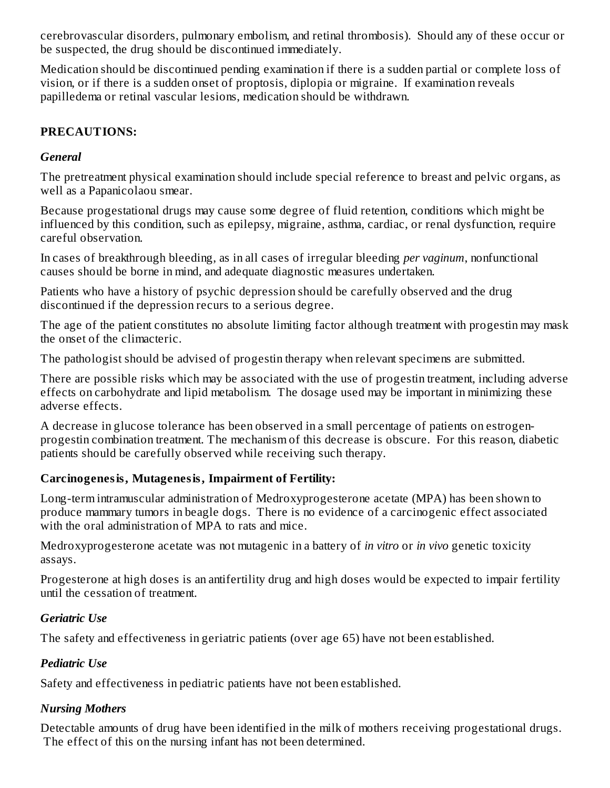cerebrovascular disorders, pulmonary embolism, and retinal thrombosis). Should any of these occur or be suspected, the drug should be discontinued immediately.

Medication should be discontinued pending examination if there is a sudden partial or complete loss of vision, or if there is a sudden onset of proptosis, diplopia or migraine. If examination reveals papilledema or retinal vascular lesions, medication should be withdrawn.

## **PRECAUTIONS:**

#### *General*

The pretreatment physical examination should include special reference to breast and pelvic organs, as well as a Papanicolaou smear.

Because progestational drugs may cause some degree of fluid retention, conditions which might be influenced by this condition, such as epilepsy, migraine, asthma, cardiac, or renal dysfunction, require careful observation.

In cases of breakthrough bleeding, as in all cases of irregular bleeding *per vaginum*, nonfunctional causes should be borne in mind, and adequate diagnostic measures undertaken.

Patients who have a history of psychic depression should be carefully observed and the drug discontinued if the depression recurs to a serious degree.

The age of the patient constitutes no absolute limiting factor although treatment with progestin may mask the onset of the climacteric.

The pathologist should be advised of progestin therapy when relevant specimens are submitted.

There are possible risks which may be associated with the use of progestin treatment, including adverse effects on carbohydrate and lipid metabolism. The dosage used may be important in minimizing these adverse effects.

A decrease in glucose tolerance has been observed in a small percentage of patients on estrogenprogestin combination treatment. The mechanism of this decrease is obscure. For this reason, diabetic patients should be carefully observed while receiving such therapy.

## **Carcinogenesis, Mutagenesis, Impairment of Fertility:**

Long-term intramuscular administration of Medroxyprogesterone acetate (MPA) has been shown to produce mammary tumors in beagle dogs. There is no evidence of a carcinogenic effect associated with the oral administration of MPA to rats and mice.

Medroxyprogesterone acetate was not mutagenic in a battery of *in vitro* or *in vivo* genetic toxicity assays.

Progesterone at high doses is an antifertility drug and high doses would be expected to impair fertility until the cessation of treatment.

## *Geriatric Use*

The safety and effectiveness in geriatric patients (over age 65) have not been established.

## *Pediatric Use*

Safety and effectiveness in pediatric patients have not been established.

## *Nursing Mothers*

Detectable amounts of drug have been identified in the milk of mothers receiving progestational drugs. The effect of this on the nursing infant has not been determined.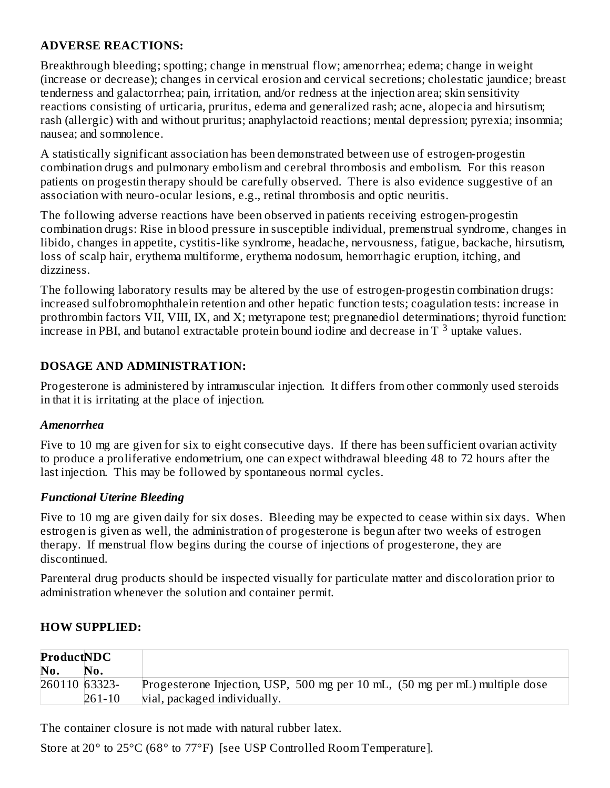#### **ADVERSE REACTIONS:**

Breakthrough bleeding; spotting; change in menstrual flow; amenorrhea; edema; change in weight (increase or decrease); changes in cervical erosion and cervical secretions; cholestatic jaundice; breast tenderness and galactorrhea; pain, irritation, and/or redness at the injection area; skin sensitivity reactions consisting of urticaria, pruritus, edema and generalized rash; acne, alopecia and hirsutism; rash (allergic) with and without pruritus; anaphylactoid reactions; mental depression; pyrexia; insomnia; nausea; and somnolence.

A statistically significant association has been demonstrated between use of estrogen-progestin combination drugs and pulmonary embolism and cerebral thrombosis and embolism. For this reason patients on progestin therapy should be carefully observed. There is also evidence suggestive of an association with neuro-ocular lesions, e.g., retinal thrombosis and optic neuritis.

The following adverse reactions have been observed in patients receiving estrogen-progestin combination drugs: Rise in blood pressure in susceptible individual, premenstrual syndrome, changes in libido, changes in appetite, cystitis-like syndrome, headache, nervousness, fatigue, backache, hirsutism, loss of scalp hair, erythema multiforme, erythema nodosum, hemorrhagic eruption, itching, and dizziness.

The following laboratory results may be altered by the use of estrogen-progestin combination drugs: increased sulfobromophthalein retention and other hepatic function tests; coagulation tests: increase in prothrombin factors VII, VIII, IX, and X; metyrapone test; pregnanediol determinations; thyroid function: increase in PBI, and butanol extractable protein bound iodine and decrease in T<sup>3</sup> uptake values.

## **DOSAGE AND ADMINISTRATION:**

Progesterone is administered by intramuscular injection. It differs from other commonly used steroids in that it is irritating at the place of injection.

#### *Amenorrhea*

Five to 10 mg are given for six to eight consecutive days. If there has been sufficient ovarian activity to produce a proliferative endometrium, one can expect withdrawal bleeding 48 to 72 hours after the last injection. This may be followed by spontaneous normal cycles.

#### *Functional Uterine Bleeding*

Five to 10 mg are given daily for six doses. Bleeding may be expected to cease within six days. When estrogen is given as well, the administration of progesterone is begun after two weeks of estrogen therapy. If menstrual flow begins during the course of injections of progesterone, they are discontinued.

Parenteral drug products should be inspected visually for particulate matter and discoloration prior to administration whenever the solution and container permit.

## **HOW SUPPLIED:**

| <b>ProductNDC</b> |            |                                                                             |
|-------------------|------------|-----------------------------------------------------------------------------|
| No.               | No.        |                                                                             |
| 260110 63323-     |            | Progesterone Injection, USP, 500 mg per 10 mL, (50 mg per mL) multiple dose |
|                   | $261 - 10$ | vial, packaged individually.                                                |

The container closure is not made with natural rubber latex.

Store at 20° to 25°C (68° to 77°F) [see USP Controlled Room Temperature].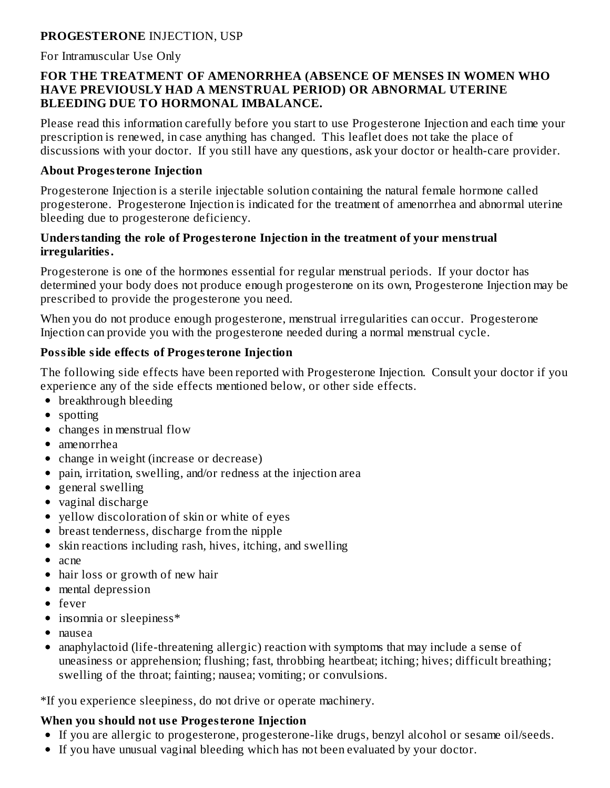## **PROGESTERONE** INJECTION, USP

For Intramuscular Use Only

#### **FOR THE TREATMENT OF AMENORRHEA (ABSENCE OF MENSES IN WOMEN WHO HAVE PREVIOUSLY HAD A MENSTRUAL PERIOD) OR ABNORMAL UTERINE BLEEDING DUE TO HORMONAL IMBALANCE.**

Please read this information carefully before you start to use Progesterone Injection and each time your prescription is renewed, in case anything has changed. This leaflet does not take the place of discussions with your doctor. If you still have any questions, ask your doctor or health-care provider.

#### **About Progesterone Injection**

Progesterone Injection is a sterile injectable solution containing the natural female hormone called progesterone. Progesterone Injection is indicated for the treatment of amenorrhea and abnormal uterine bleeding due to progesterone deficiency.

#### **Understanding the role of Progesterone Injection in the treatment of your menstrual irregularities.**

Progesterone is one of the hormones essential for regular menstrual periods. If your doctor has determined your body does not produce enough progesterone on its own, Progesterone Injection may be prescribed to provide the progesterone you need.

When you do not produce enough progesterone, menstrual irregularities can occur. Progesterone Injection can provide you with the progesterone needed during a normal menstrual cycle.

## **Possible side effects of Progesterone Injection**

The following side effects have been reported with Progesterone Injection. Consult your doctor if you experience any of the side effects mentioned below, or other side effects.

- breakthrough bleeding
- spotting
- changes in menstrual flow
- amenorrhea
- change in weight (increase or decrease)
- pain, irritation, swelling, and/or redness at the injection area
- general swelling
- vaginal discharge
- vellow discoloration of skin or white of eyes
- breast tenderness, discharge from the nipple
- skin reactions including rash, hives, itching, and swelling
- $\bullet$  acne
- hair loss or growth of new hair
- mental depression
- fever
- insomnia or sleepiness\*
- nausea
- anaphylactoid (life-threatening allergic) reaction with symptoms that may include a sense of  $\bullet$ uneasiness or apprehension; flushing; fast, throbbing heartbeat; itching; hives; difficult breathing; swelling of the throat; fainting; nausea; vomiting; or convulsions.

\*If you experience sleepiness, do not drive or operate machinery.

# **When you should not us e Progesterone Injection**

- If you are allergic to progesterone, progesterone-like drugs, benzyl alcohol or sesame oil/seeds.
- If you have unusual vaginal bleeding which has not been evaluated by your doctor.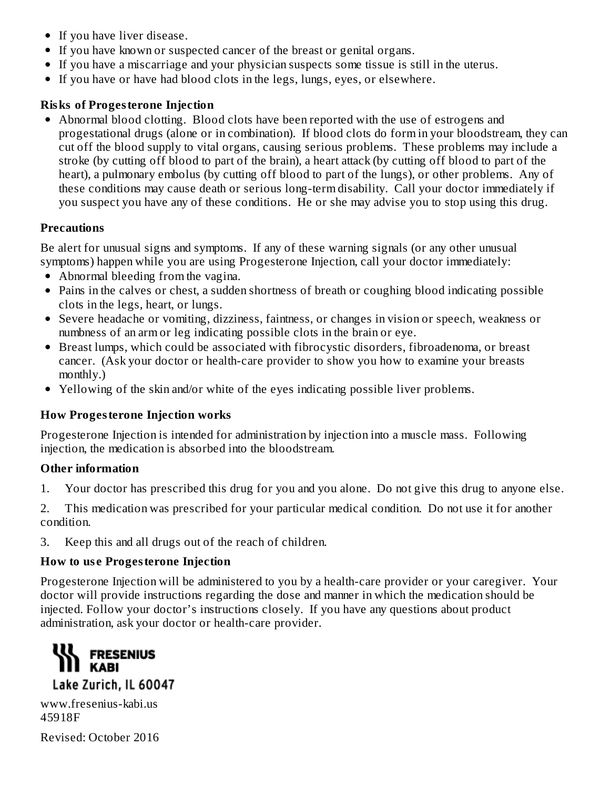- If you have liver disease.
- If you have known or suspected cancer of the breast or genital organs.
- If you have a miscarriage and your physician suspects some tissue is still in the uterus.
- If you have or have had blood clots in the legs, lungs, eyes, or elsewhere.

## **Risks of Progesterone Injection**

Abnormal blood clotting. Blood clots have been reported with the use of estrogens and progestational drugs (alone or in combination). If blood clots do form in your bloodstream, they can cut off the blood supply to vital organs, causing serious problems. These problems may include a stroke (by cutting off blood to part of the brain), a heart attack (by cutting off blood to part of the heart), a pulmonary embolus (by cutting off blood to part of the lungs), or other problems. Any of these conditions may cause death or serious long-term disability. Call your doctor immediately if you suspect you have any of these conditions. He or she may advise you to stop using this drug.

## **Precautions**

Be alert for unusual signs and symptoms. If any of these warning signals (or any other unusual symptoms) happen while you are using Progesterone Injection, call your doctor immediately:

- Abnormal bleeding from the vagina.
- Pains in the calves or chest, a sudden shortness of breath or coughing blood indicating possible clots in the legs, heart, or lungs.
- Severe headache or vomiting, dizziness, faintness, or changes in vision or speech, weakness or numbness of an arm or leg indicating possible clots in the brain or eye.
- Breast lumps, which could be associated with fibrocystic disorders, fibroadenoma, or breast cancer. (Ask your doctor or health-care provider to show you how to examine your breasts monthly.)
- Yellowing of the skin and/or white of the eyes indicating possible liver problems.

## **How Progesterone Injection works**

Progesterone Injection is intended for administration by injection into a muscle mass. Following injection, the medication is absorbed into the bloodstream.

## **Other information**

1. Your doctor has prescribed this drug for you and you alone. Do not give this drug to anyone else.

2. This medication was prescribed for your particular medical condition. Do not use it for another condition.

3. Keep this and all drugs out of the reach of children.

## **How to us e Progesterone Injection**

Progesterone Injection will be administered to you by a health-care provider or your caregiver. Your doctor will provide instructions regarding the dose and manner in which the medication should be injected. Follow your doctor's instructions closely. If you have any questions about product administration, ask your doctor or health-care provider.



www.fresenius-kabi.us 45918F

Revised: October 2016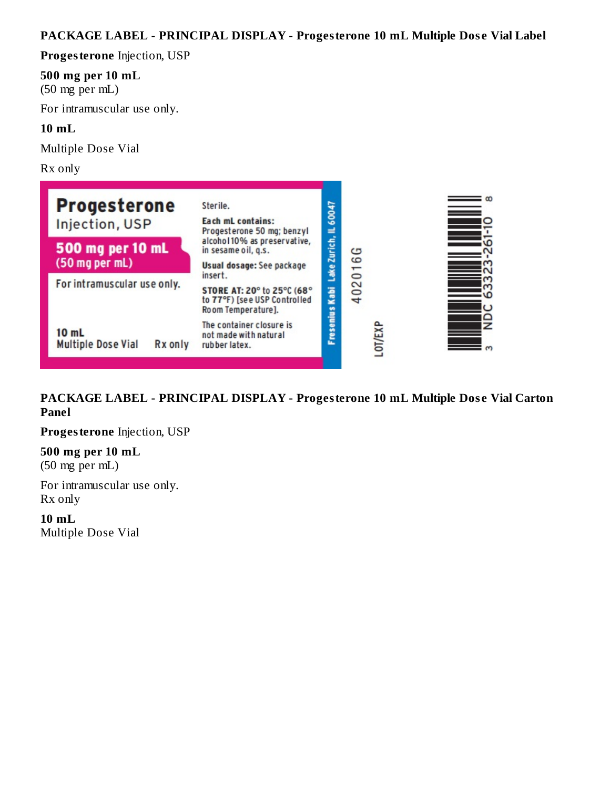# **PACKAGE LABEL - PRINCIPAL DISPLAY - Progesterone 10 mL Multiple Dos e Vial Label**

**Progesterone** Injection, USP

#### **500 mg per 10 mL**

(50 mg per mL)

For intramuscular use only.

#### **10 mL**

Multiple Dose Vial

Rx only

| <b>Progesterone</b><br>Injection, USP                                | Sterile.<br>Each mL contains:<br>Progesterone 50 mg; benzyl                                | 60047<br>⊒   |                |  |
|----------------------------------------------------------------------|--------------------------------------------------------------------------------------------|--------------|----------------|--|
| 500 mg per 10 mL<br>(50 mg per mL)                                   | alcohol10% as preservative,<br>in sesame oil, q.s.<br>Usual dosage: See package<br>insert. | Lake Zurich, | ఴ<br>6<br>5    |  |
| For intramuscular use only.                                          | STORE AT: 20° to 25°C (68°<br>to 77°F) [see USP Controlled<br>Room Temperature].           | Kabi         | $\approx$<br>4 |  |
| 10 <sub>mL</sub><br><b>Multiple Dose Vial</b><br>R <sub>x</sub> only | The container closure is<br>not made with natural<br>rubber latex.                         | Fresenius    | <b>OT/EXI</b>  |  |

**PACKAGE LABEL - PRINCIPAL DISPLAY - Progesterone 10 mL Multiple Dos e Vial Carton Panel**

**Progesterone** Injection, USP

**500 mg per 10 mL** (50 mg per mL)

For intramuscular use only. Rx only

**10 mL** Multiple Dose Vial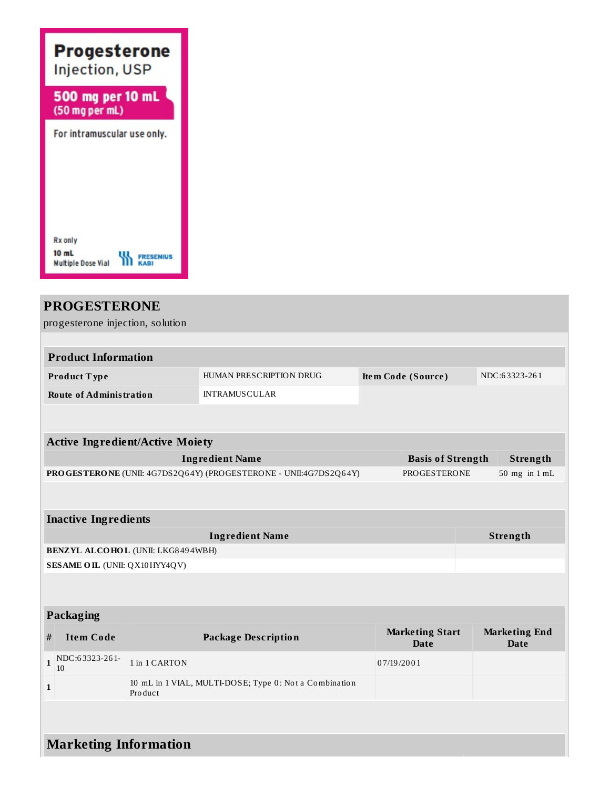

# **PROGESTERONE**

progesterone injection, solution

| <b>Product Information</b>     |                         |                    |               |  |  |
|--------------------------------|-------------------------|--------------------|---------------|--|--|
| Product Type                   | HUMAN PRESCRIPTION DRUG | Item Code (Source) | NDC:63323-261 |  |  |
| <b>Route of Administration</b> | <b>INTRAMUSCULAR</b>    |                    |               |  |  |

| <b>Active Ingredient/Active Moiety</b>                                  |                          |                                   |  |  |
|-------------------------------------------------------------------------|--------------------------|-----------------------------------|--|--|
| Ingredient Name                                                         | <b>Basis of Strength</b> | Strength                          |  |  |
| <b>PROGESTERONE</b> (UNII: 4G7DS2Q64Y) (PROGESTERONE - UNII:4G7DS2Q64Y) | PROGESTERONE             | $50 \text{ mg}$ in $1 \text{ mL}$ |  |  |

| <b>Inactive Ingredients</b>              |          |  |  |
|------------------------------------------|----------|--|--|
| <b>Ingredient Name</b>                   | Strength |  |  |
| <b>BENZYL ALCOHOL (UNII: LKG8494WBH)</b> |          |  |  |
| <b>SESAME OIL (UNII: QX10HYY4QV)</b>     |          |  |  |

#### **Packaging**

| #<br>Item Code               | <b>Package Description</b>                                        | <b>Marketing Start</b><br>Date | <b>Marketing End</b><br>Date |  |
|------------------------------|-------------------------------------------------------------------|--------------------------------|------------------------------|--|
| NDC:63323-261-<br>-10        | 1 in 1 CARTON                                                     | 07/19/2001                     |                              |  |
|                              | 10 mL in 1 VIAL, MULTI-DOSE; Type 0: Not a Combination<br>Product |                                |                              |  |
|                              |                                                                   |                                |                              |  |
| <b>Marketing Information</b> |                                                                   |                                |                              |  |